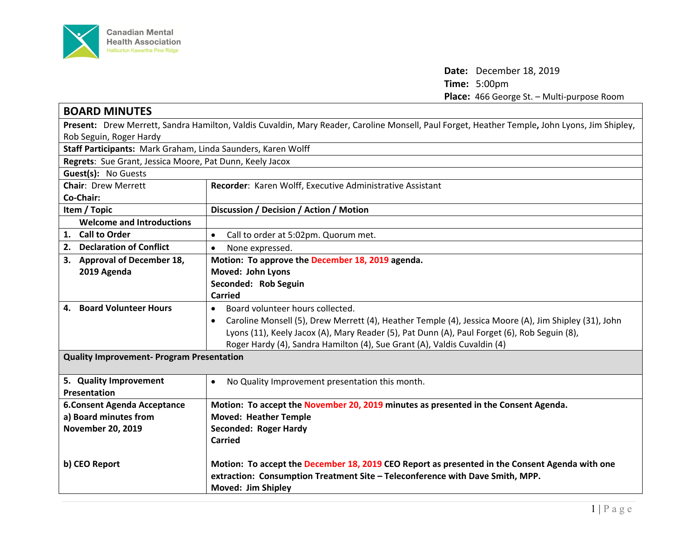

**Date:** December 18, 2019 **Time:** 5:00pm **Place:** 466 George St. – Multi-purpose Room

| <b>BOARD MINUTES</b>                                                                                                                          |                                                                                                                    |  |
|-----------------------------------------------------------------------------------------------------------------------------------------------|--------------------------------------------------------------------------------------------------------------------|--|
| Present: Drew Merrett, Sandra Hamilton, Valdis Cuvaldin, Mary Reader, Caroline Monsell, Paul Forget, Heather Temple, John Lyons, Jim Shipley, |                                                                                                                    |  |
| Rob Seguin, Roger Hardy                                                                                                                       |                                                                                                                    |  |
| Staff Participants: Mark Graham, Linda Saunders, Karen Wolff                                                                                  |                                                                                                                    |  |
| Regrets: Sue Grant, Jessica Moore, Pat Dunn, Keely Jacox                                                                                      |                                                                                                                    |  |
| Guest(s): No Guests                                                                                                                           |                                                                                                                    |  |
| <b>Chair: Drew Merrett</b>                                                                                                                    | Recorder: Karen Wolff, Executive Administrative Assistant                                                          |  |
| Co-Chair:                                                                                                                                     |                                                                                                                    |  |
| Item / Topic                                                                                                                                  | Discussion / Decision / Action / Motion                                                                            |  |
| <b>Welcome and Introductions</b>                                                                                                              |                                                                                                                    |  |
| 1. Call to Order                                                                                                                              | Call to order at 5:02pm. Quorum met.                                                                               |  |
| 2. Declaration of Conflict                                                                                                                    | None expressed.<br>$\bullet$                                                                                       |  |
| 3. Approval of December 18,                                                                                                                   | Motion: To approve the December 18, 2019 agenda.                                                                   |  |
| 2019 Agenda                                                                                                                                   | Moved: John Lyons                                                                                                  |  |
|                                                                                                                                               | Seconded: Rob Seguin                                                                                               |  |
|                                                                                                                                               | <b>Carried</b>                                                                                                     |  |
| 4. Board Volunteer Hours                                                                                                                      | Board volunteer hours collected.<br>$\bullet$                                                                      |  |
|                                                                                                                                               | Caroline Monsell (5), Drew Merrett (4), Heather Temple (4), Jessica Moore (A), Jim Shipley (31), John<br>$\bullet$ |  |
|                                                                                                                                               | Lyons (11), Keely Jacox (A), Mary Reader (5), Pat Dunn (A), Paul Forget (6), Rob Seguin (8),                       |  |
|                                                                                                                                               | Roger Hardy (4), Sandra Hamilton (4), Sue Grant (A), Valdis Cuvaldin (4)                                           |  |
| <b>Quality Improvement- Program Presentation</b>                                                                                              |                                                                                                                    |  |
|                                                                                                                                               |                                                                                                                    |  |
| 5. Quality Improvement                                                                                                                        | No Quality Improvement presentation this month.<br>$\bullet$                                                       |  |
| Presentation                                                                                                                                  |                                                                                                                    |  |
| <b>6. Consent Agenda Acceptance</b>                                                                                                           | Motion: To accept the November 20, 2019 minutes as presented in the Consent Agenda.                                |  |
| a) Board minutes from                                                                                                                         | <b>Moved: Heather Temple</b>                                                                                       |  |
| <b>November 20, 2019</b>                                                                                                                      | Seconded: Roger Hardy                                                                                              |  |
|                                                                                                                                               | <b>Carried</b>                                                                                                     |  |
|                                                                                                                                               |                                                                                                                    |  |
| b) CEO Report                                                                                                                                 | Motion: To accept the December 18, 2019 CEO Report as presented in the Consent Agenda with one                     |  |
|                                                                                                                                               | extraction: Consumption Treatment Site - Teleconference with Dave Smith, MPP.                                      |  |
|                                                                                                                                               | Moved: Jim Shipley                                                                                                 |  |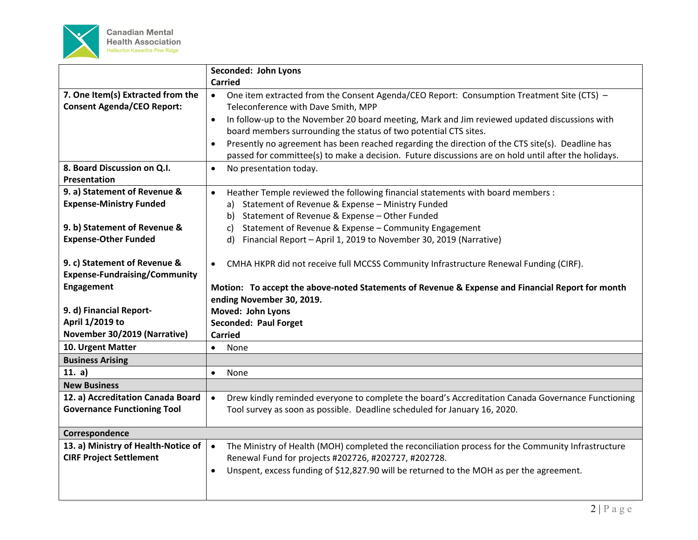

|                                      | Seconded: John Lyons                                                                                            |
|--------------------------------------|-----------------------------------------------------------------------------------------------------------------|
|                                      | <b>Carried</b>                                                                                                  |
| 7. One Item(s) Extracted from the    | One item extracted from the Consent Agenda/CEO Report: Consumption Treatment Site (CTS) -<br>$\bullet$          |
| <b>Consent Agenda/CEO Report:</b>    | Teleconference with Dave Smith, MPP                                                                             |
|                                      | In follow-up to the November 20 board meeting, Mark and Jim reviewed updated discussions with<br>$\bullet$      |
|                                      | board members surrounding the status of two potential CTS sites.                                                |
|                                      | Presently no agreement has been reached regarding the direction of the CTS site(s). Deadline has<br>$\bullet$   |
|                                      | passed for committee(s) to make a decision. Future discussions are on hold until after the holidays.            |
| 8. Board Discussion on Q.I.          | No presentation today.<br>$\bullet$                                                                             |
| Presentation                         |                                                                                                                 |
| 9. a) Statement of Revenue &         | Heather Temple reviewed the following financial statements with board members :<br>$\bullet$                    |
| <b>Expense-Ministry Funded</b>       | Statement of Revenue & Expense - Ministry Funded<br>a)                                                          |
|                                      | Statement of Revenue & Expense - Other Funded<br>b)                                                             |
| 9. b) Statement of Revenue &         | Statement of Revenue & Expense - Community Engagement<br>C)                                                     |
| <b>Expense-Other Funded</b>          | Financial Report - April 1, 2019 to November 30, 2019 (Narrative)<br>d)                                         |
|                                      |                                                                                                                 |
| 9. c) Statement of Revenue &         | CMHA HKPR did not receive full MCCSS Community Infrastructure Renewal Funding (CIRF).<br>$\bullet$              |
| <b>Expense-Fundraising/Community</b> |                                                                                                                 |
| Engagement                           | Motion: To accept the above-noted Statements of Revenue & Expense and Financial Report for month                |
|                                      |                                                                                                                 |
|                                      | ending November 30, 2019.                                                                                       |
| 9. d) Financial Report-              | Moved: John Lyons                                                                                               |
| April 1/2019 to                      | Seconded: Paul Forget                                                                                           |
| November 30/2019 (Narrative)         | <b>Carried</b>                                                                                                  |
| 10. Urgent Matter                    | $\bullet$<br>None                                                                                               |
| <b>Business Arising</b>              |                                                                                                                 |
| 11. $a)$                             | None<br>$\bullet$                                                                                               |
| <b>New Business</b>                  |                                                                                                                 |
| 12. a) Accreditation Canada Board    | Drew kindly reminded everyone to complete the board's Accreditation Canada Governance Functioning<br>$\bullet$  |
| <b>Governance Functioning Tool</b>   | Tool survey as soon as possible. Deadline scheduled for January 16, 2020.                                       |
|                                      |                                                                                                                 |
| Correspondence                       |                                                                                                                 |
| 13. a) Ministry of Health-Notice of  | The Ministry of Health (MOH) completed the reconciliation process for the Community Infrastructure<br>$\bullet$ |
| <b>CIRF Project Settlement</b>       | Renewal Fund for projects #202726, #202727, #202728.                                                            |
|                                      | Unspent, excess funding of \$12,827.90 will be returned to the MOH as per the agreement.<br>$\bullet$           |
|                                      |                                                                                                                 |